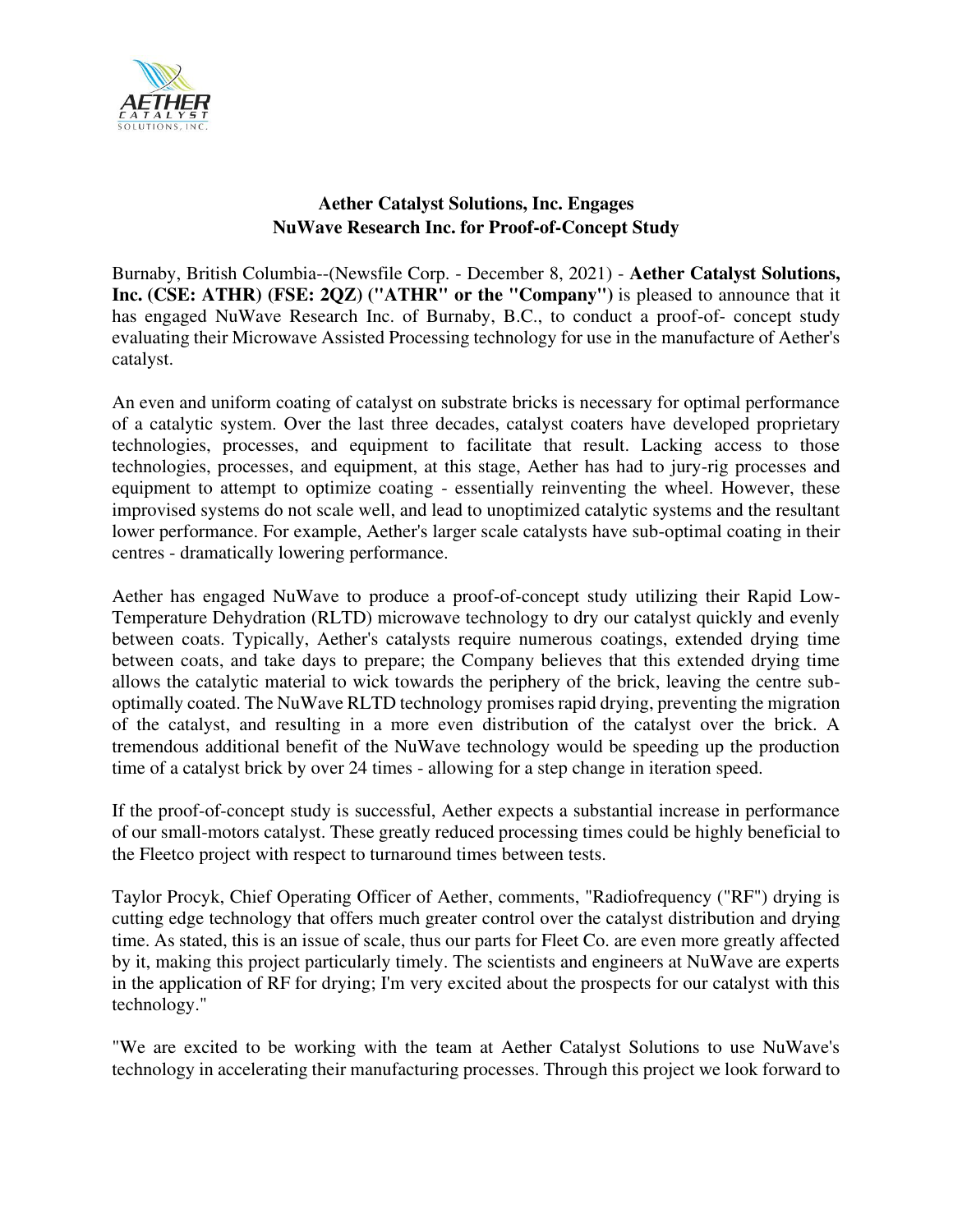

# **Aether Catalyst Solutions, Inc. Engages NuWave Research Inc. for Proof-of-Concept Study**

Burnaby, British Columbia--(Newsfile Corp. - December 8, 2021) - **Aether Catalyst Solutions, Inc. (CSE: ATHR) (FSE: 2QZ) ("ATHR" or the "Company")** is pleased to announce that it has engaged NuWave Research Inc. of Burnaby, B.C., to conduct a proof-of- concept study evaluating their Microwave Assisted Processing technology for use in the manufacture of Aether's catalyst.

An even and uniform coating of catalyst on substrate bricks is necessary for optimal performance of a catalytic system. Over the last three decades, catalyst coaters have developed proprietary technologies, processes, and equipment to facilitate that result. Lacking access to those technologies, processes, and equipment, at this stage, Aether has had to jury-rig processes and equipment to attempt to optimize coating - essentially reinventing the wheel. However, these improvised systems do not scale well, and lead to unoptimized catalytic systems and the resultant lower performance. For example, Aether's larger scale catalysts have sub-optimal coating in their centres - dramatically lowering performance.

Aether has engaged NuWave to produce a proof-of-concept study utilizing their Rapid Low-Temperature Dehydration (RLTD) microwave technology to dry our catalyst quickly and evenly between coats. Typically, Aether's catalysts require numerous coatings, extended drying time between coats, and take days to prepare; the Company believes that this extended drying time allows the catalytic material to wick towards the periphery of the brick, leaving the centre suboptimally coated. The NuWave RLTD technology promises rapid drying, preventing the migration of the catalyst, and resulting in a more even distribution of the catalyst over the brick. A tremendous additional benefit of the NuWave technology would be speeding up the production time of a catalyst brick by over 24 times - allowing for a step change in iteration speed.

If the proof-of-concept study is successful, Aether expects a substantial increase in performance of our small-motors catalyst. These greatly reduced processing times could be highly beneficial to the Fleetco project with respect to turnaround times between tests.

Taylor Procyk, Chief Operating Officer of Aether, comments, "Radiofrequency ("RF") drying is cutting edge technology that offers much greater control over the catalyst distribution and drying time. As stated, this is an issue of scale, thus our parts for Fleet Co. are even more greatly affected by it, making this project particularly timely. The scientists and engineers at NuWave are experts in the application of RF for drying; I'm very excited about the prospects for our catalyst with this technology."

"We are excited to be working with the team at Aether Catalyst Solutions to use NuWave's technology in accelerating their manufacturing processes. Through this project we look forward to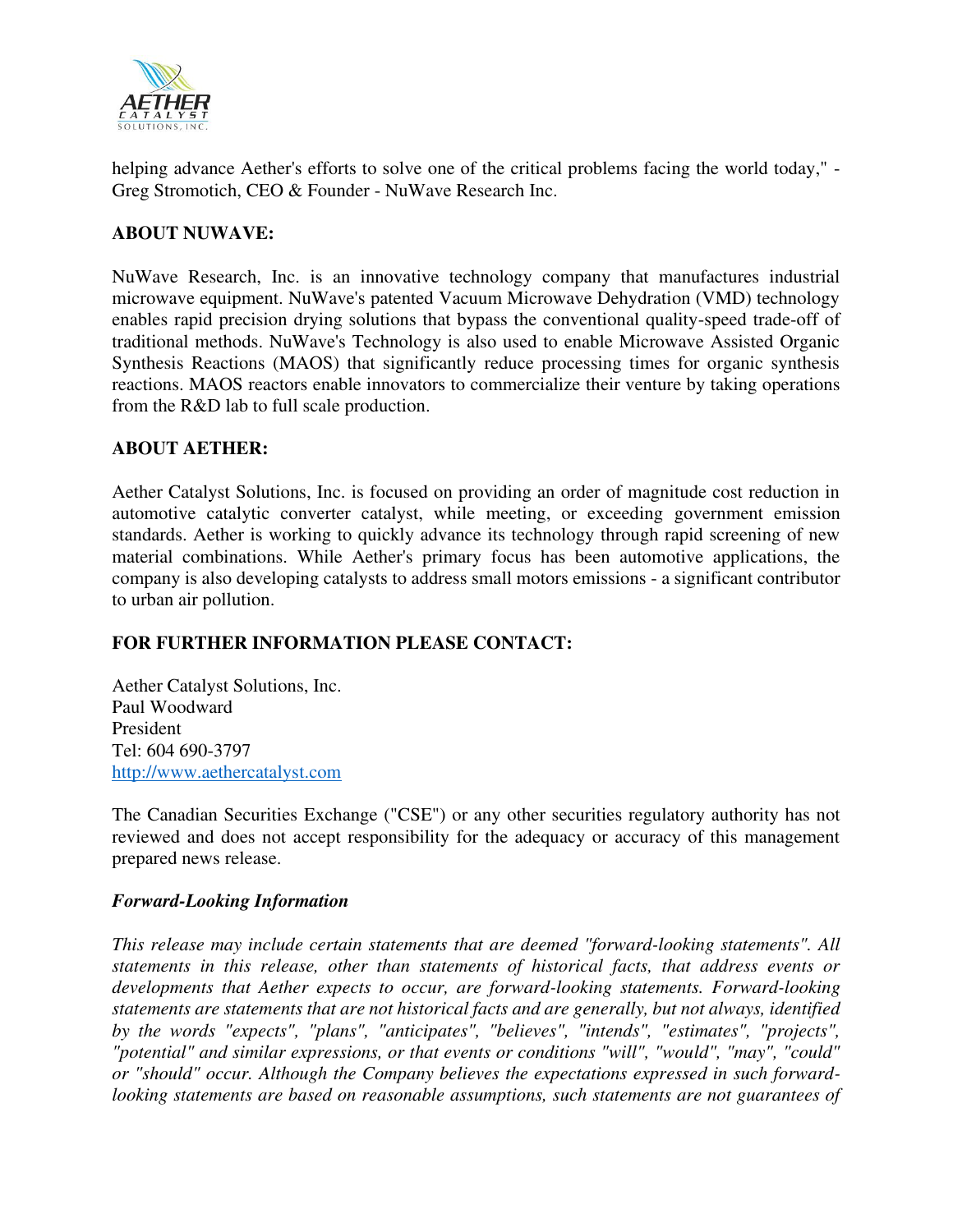

helping advance Aether's efforts to solve one of the critical problems facing the world today," - Greg Stromotich, CEO & Founder - NuWave Research Inc.

## **ABOUT NUWAVE:**

NuWave Research, Inc. is an innovative technology company that manufactures industrial microwave equipment. NuWave's patented Vacuum Microwave Dehydration (VMD) technology enables rapid precision drying solutions that bypass the conventional quality-speed trade-off of traditional methods. NuWave's Technology is also used to enable Microwave Assisted Organic Synthesis Reactions (MAOS) that significantly reduce processing times for organic synthesis reactions. MAOS reactors enable innovators to commercialize their venture by taking operations from the R&D lab to full scale production.

### **ABOUT AETHER:**

Aether Catalyst Solutions, Inc. is focused on providing an order of magnitude cost reduction in automotive catalytic converter catalyst, while meeting, or exceeding government emission standards. Aether is working to quickly advance its technology through rapid screening of new material combinations. While Aether's primary focus has been automotive applications, the company is also developing catalysts to address small motors emissions - a significant contributor to urban air pollution.

## **FOR FURTHER INFORMATION PLEASE CONTACT:**

Aether Catalyst Solutions, Inc. Paul Woodward President Tel: 604 690-3797 [http://www.aethercatalyst.com](https://www.newsfilecorp.com/redirect/xO3owsJqKj)

The Canadian Securities Exchange ("CSE") or any other securities regulatory authority has not reviewed and does not accept responsibility for the adequacy or accuracy of this management prepared news release.

#### *Forward-Looking Information*

*This release may include certain statements that are deemed "forward-looking statements". All statements in this release, other than statements of historical facts, that address events or developments that Aether expects to occur, are forward-looking statements. Forward-looking statements are statements that are not historical facts and are generally, but not always, identified by the words "expects", "plans", "anticipates", "believes", "intends", "estimates", "projects", "potential" and similar expressions, or that events or conditions "will", "would", "may", "could" or "should" occur. Although the Company believes the expectations expressed in such forwardlooking statements are based on reasonable assumptions, such statements are not guarantees of*